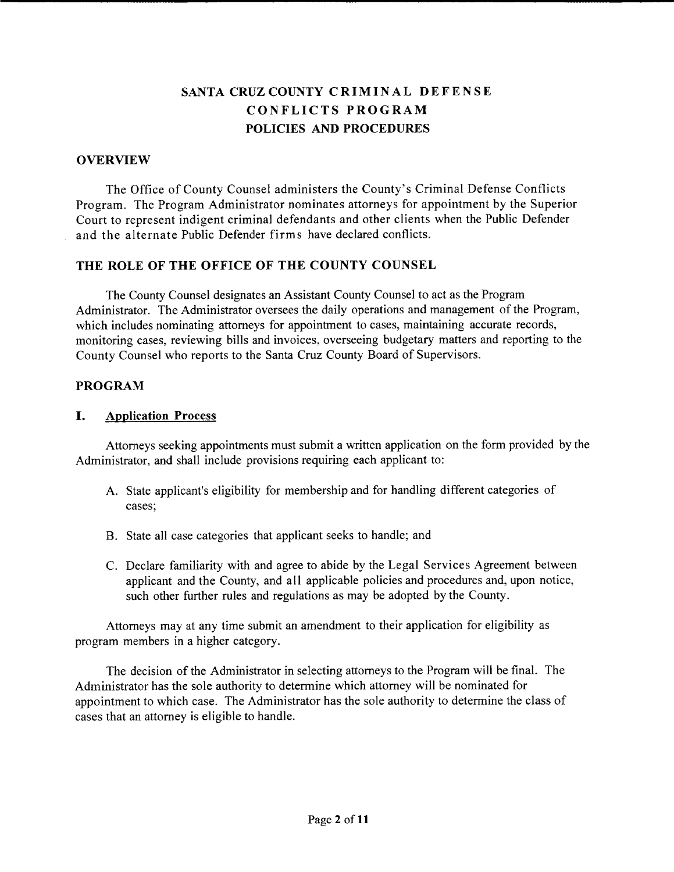# **SANTA CRUZ COUNTY CRIMINAL DEFENSE CONFLICTS PROGRAM POLICIES AND PROCEDURES**

#### **OVERVIEW**

The Office of County Counsel administers the County's Criminal Defense Conflicts Program. The Program Administrator nominates attorneys for appointment by the Superior Court to represent indigent criminal defendants and other clients when the Public Defender and the alternate Public Defender firms have declared conflicts.

#### **THE ROLE OF THE OFFICE OF THE COUNTY COUNSEL**

The County Counsel designates an Assistant County Counsel to act as the Program Administrator. The Administrator oversees the daily operations and management of the Program, which includes nominating attorneys for appointment to cases, maintaining accurate records, monitoring cases, reviewing bills and invoices, overseeing budgetary matters and reporting to the County Counsel who reports to the Santa Cruz County Board of Supervisors.

#### **PROGRAM**

#### **I. Application Process**

Attorneys seeking appointments must submit a written application on the form provided by the Administrator, and shall include provisions requiring each applicant to:

- A. State applicant's eligibility for membership and for handling different categories of cases;
- B. State all case categories that applicant seeks to handle; and
- C. Declare familiarity with and agree to abide by the Legal Services Agreement between applicant and the County, and all applicable policies and procedures and, upon notice, such other further rules and regulations as may be adopted by the County.

Attorneys may at any time submit an amendment to their application for eligibility as program members in a higher category.

The decision of the Administrator in selecting attorneys to the Program will be final. The Administrator has the sole authority to determine which attorney will be nominated for appointment to which case. The Administrator has the sole authority to determine the class of cases that an attorney is eligible to handle.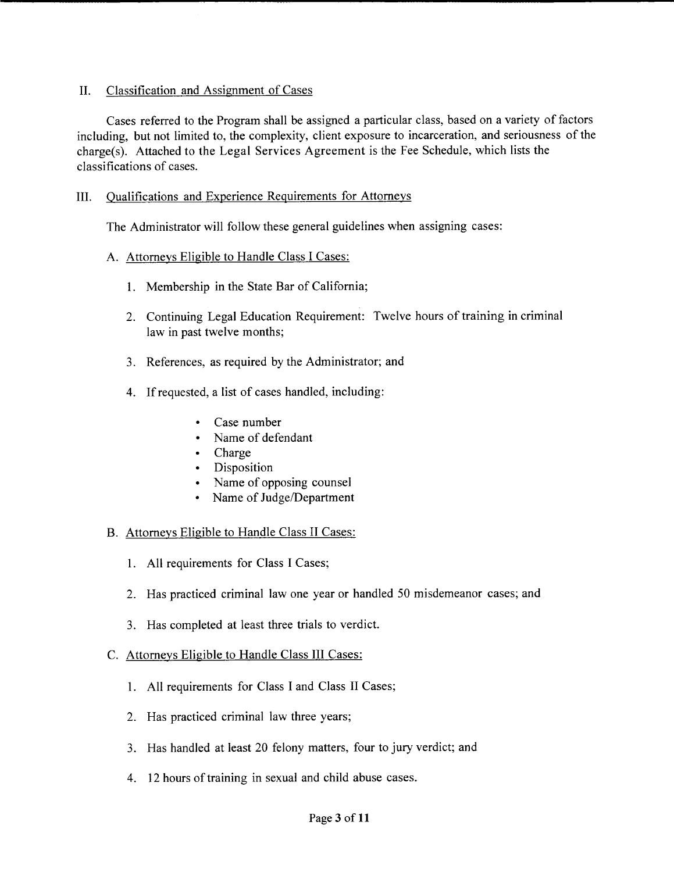## II. Classification and Assignment of Cases

Cases referred to the Program shall be assigned a particular class, based on a variety of factors including, but not limited to, the complexity, client exposure to incarceration, and seriousness of the charge(s). Attached to the Legal Services Agreement is the Fee Schedule, which lists the classifications of cases.

# III. Qualifications and Experience Requirements for Attorneys

The Administrator will follow these general guidelines when assigning cases:

## A. Attorneys Eligible to Handle Class I Cases:

- 1. Membership in the State Bar of California;
- 2. Continuing Legal Education Requirement: Twelve hours of training in criminal law in past twelve months;
- 3. References, as required by the Administrator; and
- 4. If requested, a list of cases handled, including:
	- Case number
	- Name of defendant
	- Charge
	- Disposition
	- Name of opposing counsel
	- Name of Judge/Department

## B. Attorneys Eligible to Handle Class II Cases:

- 1. All requirements for Class I Cases;
- 2. Has practiced criminal law one year or handled *50* misdemeanor cases; and
- 3. Has completed at least three trials to verdict.

## C. Attorneys Eligible to Handle Class III Cases:

- 1. All requirements for Class I and Class II Cases;
- 2. Has practiced criminal law three years;
- 3. Has handled at least 20 felony matters, four to jury verdict; and
- 4. 12 hours of training in sexual and child abuse cases.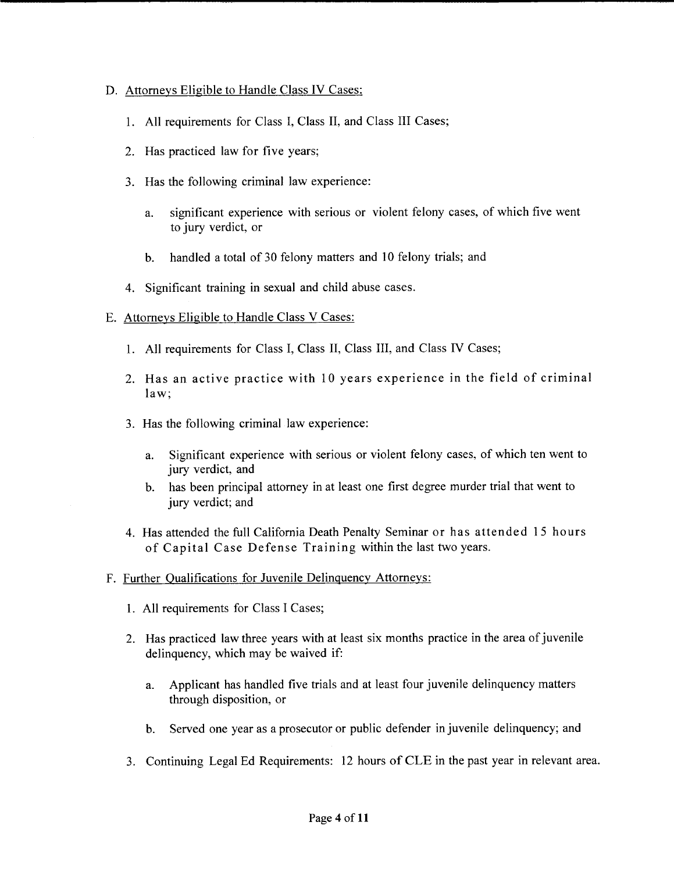#### D. Attorneys Eligible to Handle Class IV Cases:

- 1. All requirements for Class I, Class II, and Class III Cases;
- 2. Has practiced law for five years;
- 3. Has the following criminal law experience:
	- a. significant experience with serious or violent felony cases, of which five went to jury verdict, or
	- b. handled a total of 30 felony matters and 10 felony trials; and
- 4. Significant training in sexual and child abuse cases.

#### E. Attorneys Eligible to Handle Class V Cases:

- 1. All requirements for Class I, Class II, Class III, and Class IV Cases;
- 2. Has an active practice with 10 years experience in the field of criminal law;
- 3. Has the following criminal law experience:
	- a. Significant experience with serious or violent felony cases, of which ten went to jury verdict, and
	- b. has been principal attorney in at least one first degree murder trial that went to jury verdict; and
- 4. Has attended the full California Death Penalty Seminar or has attended 1 *<sup>5</sup>*hours of Capital Case Defense Training within the last two years.
- F. Further Qualifications for Juvenile Delinquency Attorneys:
	- 1. All requirements for Class I Cases;
	- 2. Has practiced law three years with at least six months practice in the area of juvenile delinquency, which may be waived if:
		- a. Applicant has handled five trials and at least four juvenile delinquency matters through disposition, or
		- b. Served one year as a prosecutor or public defender in juvenile delinquency; and
	- 3. Continuing Legal Ed Requirements: 12 hours of CLE in the past year in relevant area.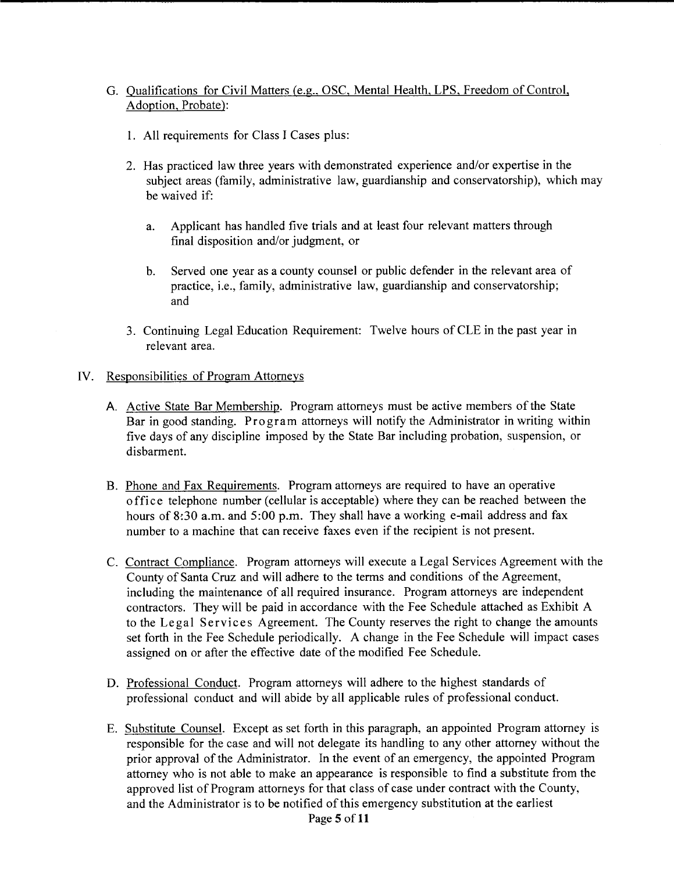# G. Qualifications for Civil Matters (e.g.. OSC, Mental Health, LPS, Freedom of Control, Adoption, Probate):

- 1. All requirements for Class I Cases plus:
- 2. Has practiced law three years with demonstrated experience and/or expertise in the subject areas (family, administrative law, guardianship and conservatorship), which may be waived if:
	- a. Applicant has handled five trials and at least four relevant matters through final disposition and/or judgment, or
	- b. Served one year as a county counsel or public defender in the relevant area of practice, i.e., family, administrative law, guardianship and conservatorship; and
- 3. Continuing Legal Education Requirement: Twelve hours of CLE in the past year in relevant area.

#### IV. Responsibilities of Program Attorneys

- A. Active State Bar Membership. Program attorneys must be active members of the State Bar in good standing. Program attorneys will notify the Administrator in writing within five days of any discipline imposed by the State Bar including probation, suspension, or disbarment.
- B. Phone and Fax Requirements. Program attorneys are required to have an operative office telephone number (cellular is acceptable) where they can be reached between the hours of 8:30 a.m. and 5:00 p.m. They shall have a working e-mail address and fax number to a machine that can receive faxes even if the recipient is not present.
- C. Contract Compliance. Program attorneys will execute a Legal Services Agreement with the County of Santa Cruz and will adhere to the terms and conditions of the Agreement, including the maintenance of all required insurance. Program attorneys are independent contractors. They will be paid in accordance with the Fee Schedule attached as Exhibit A to the Legal Services Agreement. The County reserves the right to change the amounts set forth in the Fee Schedule periodically. A change in the Fee Schedule will impact cases assigned on or after the effective date of the modified Fee Schedule.
- D. Professional Conduct. Program attorneys will adhere to the highest standards of professional conduct and will abide by all applicable rules of professional conduct.
- E. Substitute Counsel. Except as set forth in this paragraph, an appointed Program attorney is responsible for the case and will not delegate its handling to any other attorney without the prior approval of the Administrator. In the event of an emergency, the appointed Program attorney who is not able to make an appearance is responsible to find a substitute from the approved list of Program attorneys for that class of case under contract with the County, and the Administrator is to be notified of this emergency substitution at the earliest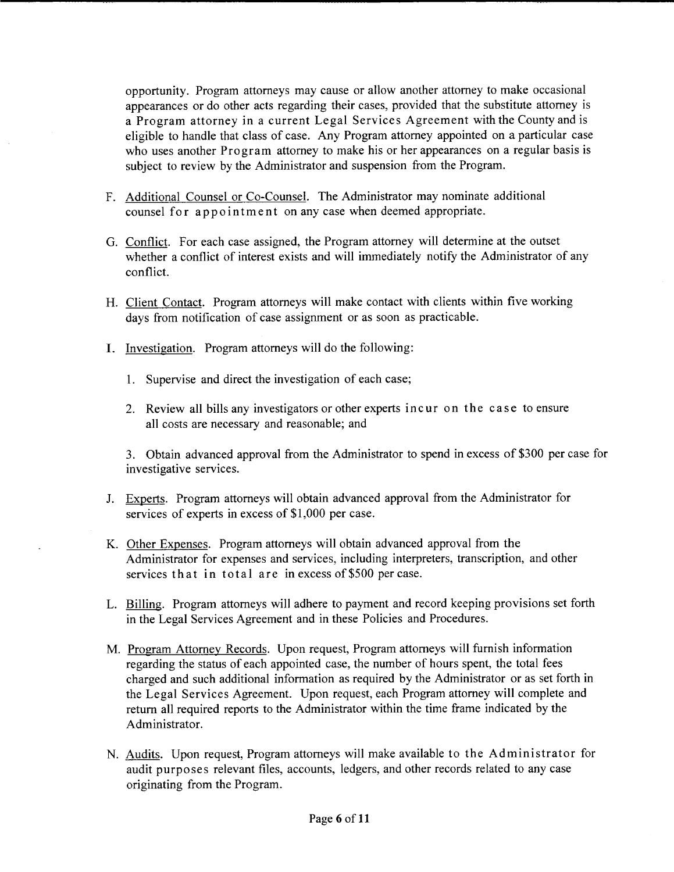opportunity. Program attorneys may cause or allow another attorney to make occasional appearances or do other acts regarding their cases, provided that the substitute attorney is a Program attorney in a current Legal Services Agreement with the County and is eligible to handle that class of case. Any Program attorney appointed on a particular case who uses another Program attorney to make his or her appearances on a regular basis is subject to review by the Administrator and suspension from the Program.

- F. Additional Counsel or Co-Counsel. The Administrator may nominate additional counsel for appointment on any case when deemed appropriate.
- G. Conflict. For each case assigned, the Program attorney will determine at the outset whether a conflict of interest exists and will immediately notify the Administrator of any conflict.
- H. Client Contact. Program attorneys will make contact with clients within five working days from notification of case assignment or as soon as practicable.
- I. Investigation. Program attorneys will do the following:
	- 1. Supervise and direct the investigation of each case;
	- 2. Review all bills any investigators or other experts incur on the case to ensure all costs are necessary and reasonable; and

3. Obtain advanced approval from the Administrator to spend in excess of \$300 per case for investigative services.

- J. Experts. Program attorneys will obtain advanced approval from the Administrator for services of experts in excess of \$1,000 per case.
- K. Other Expenses. Program attorneys will obtain advanced approval from the Administrator for expenses and services, including interpreters, transcription, and other services that in total are in excess of \$500 per case.
- L. Billing. Program attorneys will adhere to payment and record keeping provisions set forth in the Legal Services Agreement and in these Policies and Procedures.
- M. Program Attorney Records. Upon request, Program attorneys will furnish information regarding the status of each appointed case, the number of hours spent, the total fees charged and such additional information as required by the Administrator or as set forth in the Legal Services Agreement. Upon request, each Program attorney will complete and return all required reports to the Administrator within the time frame indicated by the Administrator.
- N. Audits. Upon request, Program attorneys will make available to the Administrator for audit purposes relevant files, accounts, ledgers, and other records related to any case originating from the Program.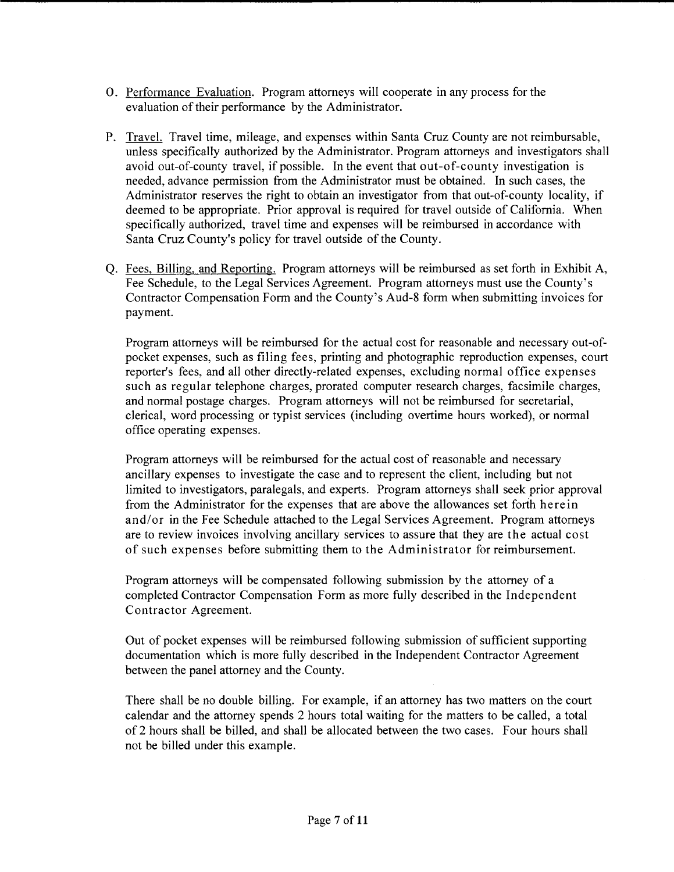- 0. Performance Evaluation. Program attorneys will cooperate in any process for the evaluation of their performance by the Administrator.
- P. Travel. Travel time, mileage, and expenses within Santa Cruz County are not reimbursable, unless specifically authorized by the Administrator. Program attorneys and investigators shall avoid out-of-county travel, if possible. In the event that out-of-county investigation is needed, advance permission from the Administrator must be obtained. In such cases, the Administrator reserves the right to obtain an investigator from that out-of-county locality, if deemed to be appropriate. Prior approval is required for travel outside of California. When specifically authorized, travel time and expenses will be reimbursed in accordance with Santa Cruz County's policy for travel outside of the County.
- Q. Fees, Billing, and Reporting. Program attorneys will be reimbursed as set forth in Exhibit A, Fee Schedule, to the Legal Services Agreement. Program attorneys must use the County's Contractor Compensation Form and the County's Aud-8 form when submitting invoices for payment.

Program attorneys will be reimbursed for the actual cost for reasonable and necessary out-ofpocket expenses, such as filing fees, printing and photographic reproduction expenses, court reporter's fees, and all other directly-related expenses, excluding normal office expenses such as regular telephone charges, prorated computer research charges, facsimile charges, and normal postage charges. Program attorneys will not be reimbursed for secretarial, clerical, word processing or typist services (including overtime hours worked), or normal office operating expenses.

Program attorneys will be reimbursed for the actual cost of reasonable and necessary ancillary expenses to investigate the case and to represent the client, including but not limited to investigators, paralegals, and experts. Program attorneys shall seek prior approval from the Administrator for the expenses that are above the allowances set forth herein and/or in the Fee Schedule attached to the Legal Services Agreement. Program attorneys are to review invoices involving ancillary services to assure that they are the actual cost of such expenses before submitting them to the Administrator for reimbursement.

Program attorneys will be compensated following submission by the attorney of a completed Contractor Compensation Form as more fully described in the Independent Contractor Agreement.

Out of pocket expenses will be reimbursed following submission of sufficient supporting documentation which is more fully described in the Independent Contractor Agreement between the panel attorney and the County.

There shall be no double billing. For example, if an attorney has two matters on the court calendar and the attorney spends 2 hours total waiting for the matters to be called, a total of 2 hours shall be billed, and shall be allocated between the two cases. Four hours shall not be billed under this example.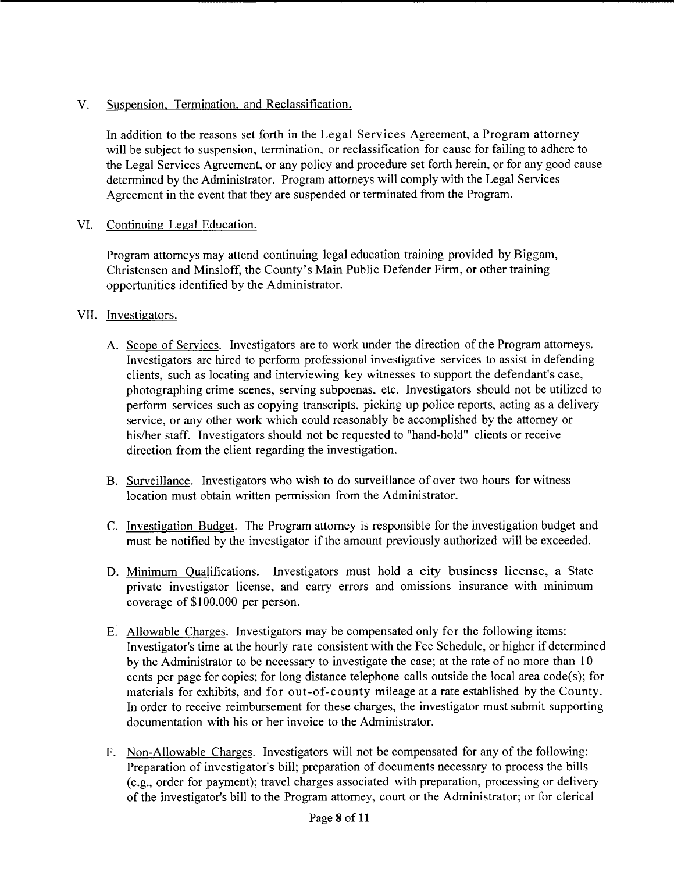# V. Suspension, Termination, and Reclassification.

In addition to the reasons set forth in the Legal Services Agreement, a Program attorney will be subject to suspension, termination, or reclassification for cause for failing to adhere to the Legal Services Agreement, or any policy and procedure set forth herein, or for any good cause determined by the Administrator. Program attorneys will comply with the Legal Services Agreement in the event that they are suspended or terminated from the Program.

# VI. Continuing Legal Education.

Program attorneys may attend continuing legal education training provided by Biggam, Christensen and Minsloff, the County's Main Public Defender Firm, or other training opportunities identified by the Administrator.

## VII. Investigators.

- A. Scope of Services. Investigators are to work under the direction of the Program attorneys. Investigators are hired to perform professional investigative services to assist in defending clients, such as locating and interviewing key witnesses to support the defendant's case, photographing crime scenes, serving subpoenas, etc. Investigators should not be utilized to perform services such as copying transcripts, picking up police reports, acting as a delivery service, or any other work which could reasonably be accomplished by the attorney or his/her staff. Investigators should not be requested to "hand-hold" clients or receive direction from the client regarding the investigation.
- B. Surveillance. Investigators who wish to do surveillance of over two hours for witness location must obtain written permission from the Administrator.
- C. Investigation Budget. The Program attorney is responsible for the investigation budget and must be notified by the investigator if the amount previously authorized will be exceeded.
- D. Minimum Qualifications. Investigators must hold a city business license, a State private investigator license, and carry errors and omissions insurance with minimum coverage of \$100,000 per person.
- E. Allowable Charges. Investigators may be compensated only for the following items: Investigator's time at the hourly rate consistent with the Fee Schedule, or higher if determined by the Administrator to be necessary to investigate the case; at the rate of no more than 10 cents per page for copies; for long distance telephone calls outside the local area code(s); for materials for exhibits, and for out-of-county mileage at a rate established by the County. In order to receive reimbursement for these charges, the investigator must submit supporting documentation with his or her invoice to the Administrator.
- F. Non-Allowable Charges. Investigators will not be compensated for any of the following: Preparation of investigator's bill; preparation of documents necessary to process the bills (e.g., order for payment); travel charges associated with preparation, processing or delivery of the investigator's bill to the Program attorney, court or the Administrator; or for clerical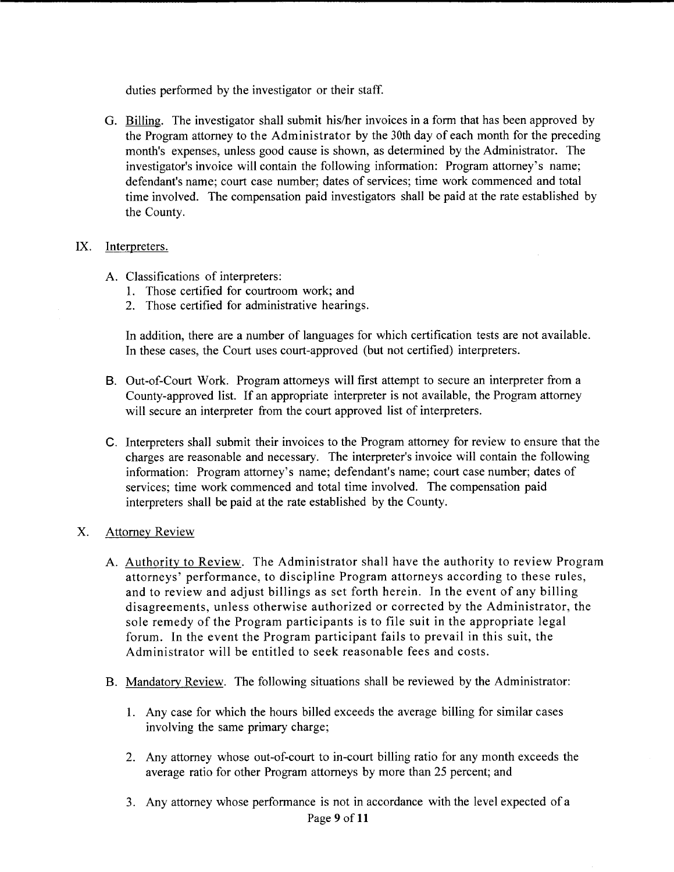duties performed by the investigator or their staff.

G. Billing. The investigator shall submit his/her invoices in a form that has been approved by the Program attorney to the Administrator by the 30th day of each month for the preceding month's expenses, unless good cause is shown, as determined by the Administrator. The investigator's invoice will contain the following information: Program attorney's name; defendant's name; court case number; dates of services; time work commenced and total time involved. The compensation paid investigators shall be paid at the rate established by the County.

#### IX. Interpreters.

- A. Classifications of interpreters:
	- 1. Those certified for courtroom work; and
	- 2. Those certified for administrative hearings.

In addition, there are a number of languages for which certification tests are not available. In these cases, the Court uses court-approved (but not certified) interpreters.

- B. Out-of-Court Work. Program attorneys will first attempt to secure an interpreter from a County-approved list. If an appropriate interpreter is not available, the Program attorney will secure an interpreter from the court approved list of interpreters.
- C. Interpreters shall submit their invoices to the Program attorney for review to ensure that the charges are reasonable and necessary. The interpreter's invoice will contain the following information: Program attorney's name; defendant's name; court case number; dates of services; time work commenced and total time involved. The compensation paid interpreters shall be paid at the rate established by the County.

## X. Attorney Review

- A. Authority to Review. The Administrator shall have the authority to review Program attorneys' performance, to discipline Program attorneys according to these rules, and to review and adjust billings as set forth herein. In the event of any billing disagreements, unless otherwise authorized or corrected by the Administrator, the sole remedy of the Program participants is to file suit in the appropriate legal forum. In the event the Program participant fails to prevail in this suit, the Administrator will be entitled to seek reasonable fees and costs.
- B. Mandatory Review. The following situations shall be reviewed by the Administrator:
	- 1. Any case for which the hours billed exceeds the average billing for similar cases involving the same primary charge;
	- 2. Any attorney whose out-of-court to in-court billing ratio for any month exceeds the average ratio for other Program attorneys by more than 25 percent; and
	- 3. Any attorney whose performance is not in accordance with the level expected of a Page 9 of **11**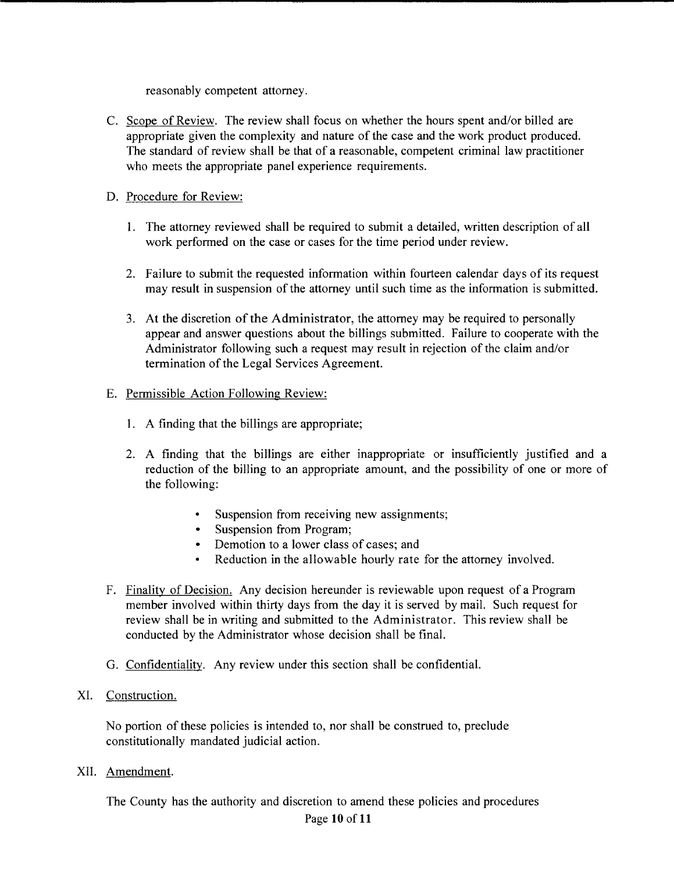reasonably competent attorney.

C. Scope of Review. The review shall focus on whether the hours spent and/or billed are appropriate given the complexity and nature of the case and the work product produced. The standard of review shall be that of a reasonable, competent criminal law practitioner who meets the appropriate panel experience requirements.

# D. Procedure for Review:

- 1. The attorney reviewed shall be required to submit a detailed, written description of all work performed on the case or cases for the time period under review.
- 2. Failure to submit the requested information within fourteen calendar days of its request may result in suspension of the attorney until such time as the information is submitted.
- 3. At the discretion of the Administrator, the attorney may be required to personally appear and answer questions about the billings submitted. Failure to cooperate with the Administrator following such a request may result in rejection of the claim and/or termination of the Legal Services Agreement.
- E. Permissible Action Following Review:
	- 1. A finding that the billings are appropriate;
	- 2. A finding that the billings are either inappropriate or insufficiently justified and a reduction of the billing to an appropriate amount, and the possibility of one or more of the following:
		- Suspension from receiving new assignments;
		- Suspension from Program;
		- Demotion to a lower class of cases; and
		- Reduction in the allowable hourly rate for the attorney involved.
- F. Finality of Decision. Any decision hereunder is reviewable upon request of a Program member involved within thirty days from the day it is served by mail. Such request for review shall be in writing and submitted to the Administrator. This review shall be conducted by the Administrator whose decision shall be final.
- G. Confidentiality. Any review under this section shall be confidential.
- XI. Construction.

No portion of these policies is intended to, nor shall be construed to, preclude constitutionally mandated judicial action.

XII. Amendment.

The County has the authority and discretion to amend these policies and procedures